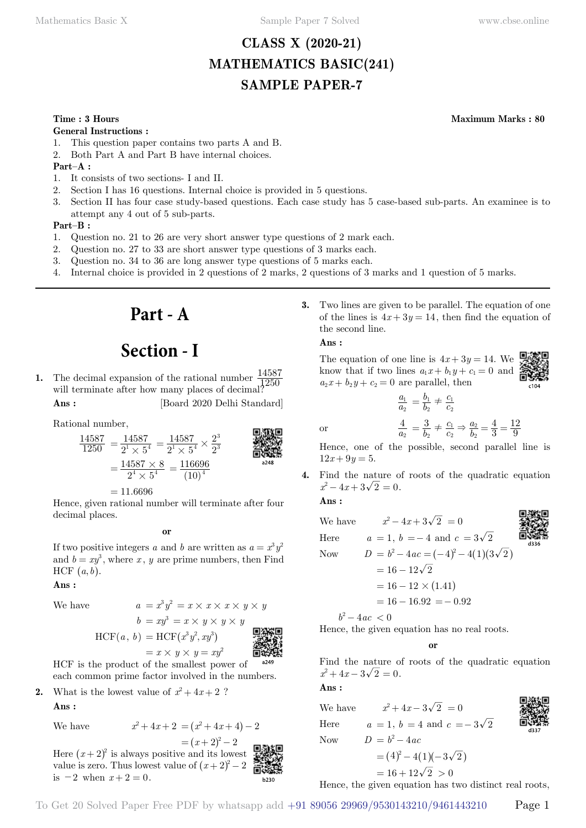# **CLASS X (2020-21) MATHEMATICS BASIC(241) SAMPLE PAPER-7**

#### **General Instructions :**

- 1. This question paper contains two parts A and B.
- 2. Both Part A and Part B have internal choices.

#### **Part–A :**

- 1. It consists of two sections- I and II.
- 2. Section I has 16 questions. Internal choice is provided in 5 questions.
- 3. Section II has four case study-based questions. Each case study has 5 case-based sub-parts. An examinee is to attempt any 4 out of 5 sub-parts.

#### **Part–B :**

- 1. Question no. 21 to 26 are very short answer type questions of 2 mark each.
- 2. Question no. 27 to 33 are short answer type questions of 3 marks each.
- 3. Question no. 34 to 36 are long answer type questions of 5 marks each.
- 4. Internal choice is provided in 2 questions of 2 marks, 2 questions of 3 marks and 1 question of 5 marks.

# **Part - A**

# **Section - I**

**1.** The decimal expansion of the rational number  $\frac{14587}{1250}$ will terminate after how many places of decimal?  $\frac{1250}{1250}$ **Ans :** [Board 2020 Delhi Standard]

Rational number,

$$
\frac{14587}{1250} = \frac{14587}{2^1 \times 5^4} = \frac{14587}{2^1 \times 5^4} \times \frac{2^3}{2^3}
$$
\n
$$
= \frac{14587 \times 8}{2^4 \times 5^4} = \frac{116696}{(10)^4}
$$
\n
$$
= 14587 \times 8 = 116696
$$
\n
$$
= 14587 \times 8 = 116696
$$

 $= 11.6696$ 

Hence, given rational number will terminate after four decimal places.

#### **o**

If two positive integers *a* and *b* are written as  $a = x^3 y^2$ and  $b = xy^3$ , where *x*, *y* are prime numbers, then Find  $HCF (a, b)$ .

 **Ans :**

#### $We have$

We have  
\n
$$
a = x^3 y^2 = x \times x \times x \times y \times y
$$
\n
$$
b = xy^3 = x \times y \times y \times y
$$
\n
$$
\text{HCF}(a, b) = \text{HCF}(x^3 y^2, xy^3)
$$
\n
$$
= x \times y \times y = xy^2
$$
\n10.10



HCF is the product of the smallest power of each common prime factor involved in the numbers.

**2.** What is the lowest value of  $x^2 + 4x + 2$ ?  **Ans :**

We have 
$$
x^2 + 4x + 2 = (x^2 + 4x + 4) - 2
$$

Here 
$$
(x+2)^2
$$
 is always positive and its lowest  
of  $(x+2)^2$  is always positive and its lowest

Here  $(x+2)^2$  is always positive and its lowest value is zero. Thus lowest value of  $(x + 2)^2 - 2$ is  $-2$  when  $x + 2 = 0$ .

**3.** Two lines are given to be parallel. The equation of one of the lines is  $4x + 3y = 14$ , then find the equation of the second line.

#### **Ans :**

The equation of one line is  $4x + 3y = 14$ . We know that if two lines  $a_1x + b_1y + c_1 = 0$  and  $a_2x + b_2y + c_2 = 0$  are parallel, then

$$
\frac{a_1}{a_2} = \frac{b_1}{b_2} \neq \frac{c_1}{c_2}
$$

$$
\frac{4}{a_2} = \frac{3}{b_2} \neq \frac{c_1}{c_2} \Rightarrow \frac{a_2}{b_2} = \frac{4}{3} =
$$

Hence, one of the possible, second parallel line is  $12x + 9y = 5.$ 

*b*

3 4

9 12

**4.** Find the nature of roots of the quadratic equation  $x^2 - 4x + 3\sqrt{2} = 0$ .

 **Ans :**

or

We have 
$$
x^2 - 4x + 3\sqrt{2} = 0
$$
  
\nHere  $a = 1, b = -4$  and  $c = 3\sqrt{2}$   
\nNow  $D = b^2 - 4ac = (-4)^2 - 4(1)(3\sqrt{2})$   
\n $= 16 - 12\sqrt{2}$   
\n $= 16 - 12 \times (1.41)$   
\n $= 16 - 16.92 = -0.92$ 

 $b^2 - 4ac < 0$ 

Hence, the given equation has no real roots.

#### **o**

Find the nature of roots of the quadratic equation  $x^2 + 4x - 3\sqrt{2} = 0$ .

 **Ans :**

We have  $x^2 + 4x - 3\sqrt{2} = 0$ Here  $a = 1, b = 4 \text{ and } c = -3\sqrt{2}$ Now  $D = b^2 - 4ac$  $= (4)^2 - 4(1)(-3\sqrt{2})$ 

$$
\frac{1}{2}
$$

$$
= 16 + 12\sqrt{2} > 0
$$

Hence, the given equation has two distinct real roots,



### **Time : 3 Hours Maximum Marks : 80**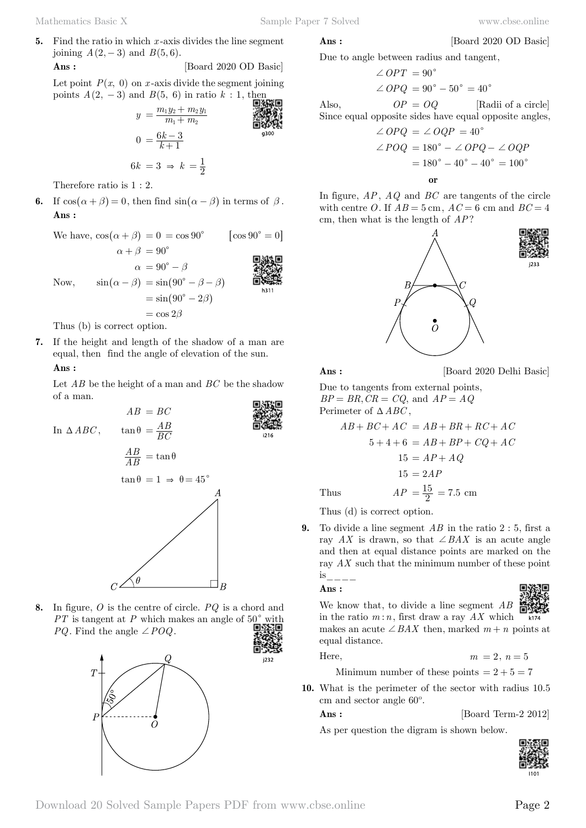[Board 2020 OD Basic]

**5.** Find the ratio in which *x* -axis divides the line segment joining  $A(2, -3)$  and  $B(5, 6)$ . **Ans :** [Board 2020 OD Basic]

Let point  $P(x, 0)$  on *x*-axis divide the segment joining points  $A$  (

(2, -3) and B(5, 6) in ratio k : 1, then  
\n
$$
y = \frac{m_1 y_2 + m_2 y_1}{m_1 + m_2}
$$
  
\n $0 = \frac{6k - 3}{k + 1}$ 

$$
6k = 3 \Rightarrow k = \frac{1}{2}
$$

Therefore ratio is 1 : 2.

**6.** If  $\cos(\alpha + \beta) = 0$ , then find  $\sin(\alpha - \beta)$  in terms of  $\beta$ .  **Ans :**

| We have, $\cos(\alpha + \beta) = 0 = \cos 90^{\circ}$ |                                                         | $\cos 90^\circ = 0$ |
|-------------------------------------------------------|---------------------------------------------------------|---------------------|
|                                                       | $\alpha + \beta = 90^{\circ}$                           |                     |
|                                                       | $\alpha = 90^{\circ} - \beta$                           |                     |
| Now,                                                  | $\sin(\alpha - \beta) = \sin(90^\circ - \beta - \beta)$ | h311                |
|                                                       | $= \sin(90^\circ - 2\beta)$                             |                     |
|                                                       | $=$ cos $2\beta$                                        |                     |
| Thus (b) is correct option.                           |                                                         |                     |

**7.** If the height and length of the shadow of a man are equal, then find the angle of elevation of the sun.  **Ans :**

Let *AB* be the height of a man and *BC* be the shadow of a man.



**8.** In figure, *O* is the centre of circle. *PQ* is a chord and  $PT$  is tangent at  $P$  which makes an angle of  $50^{\circ}$  with *PQ*. Find the angle  $\angle POQ$ .



$$
\mathbf{Ans:}\quad
$$

Due to angle between radius and tangent,

$$
\angle OPT = 90^{\circ}
$$
  
\n
$$
\angle OPQ = 90^{\circ} - 50^{\circ} = 40^{\circ}
$$
  
\nAlso, 
$$
OP = OQ
$$
 [Radi of a circle]

Since equal opposite sides have equal opposite angles, +*OPQ* = +*OQP* = 40c

$$
\angle POQ = \angle OQP = 40
$$
  
\n
$$
\angle POQ = 180^\circ - \angle OPQ - \angle OQP
$$
  
\n
$$
= 180^\circ - 40^\circ - 40^\circ = 100^\circ
$$
  
\nor

In figure, *AP*, *AQ* and *BC* are tangents of the circle with centre *O*. If  $AB = 5$  cm,  $AC = 6$  cm and  $BC = 4$ cm, then what is the length of *AP*?



**Ans :** [Board 2020 Delhi Basic]

Due to tangents from external points,  $BP = BR, CR = CQ$ , and  $AP = AQ$ Perimeter of  $\triangle ABC$ ,  $AB + BC + AC = AB + BR + RC + AC$ 5 4 + + 6 = *AB* + + *BP CQ* + *AC*

$$
5 + 4 + 6 = AB + BP + CQ + AC
$$

$$
15 = AP + AQ
$$

$$
15 = 2AP
$$
Thus 
$$
AP = \frac{15}{2} = 7.5 \text{ cm}
$$

Thus (d) is correct option.

**9.** To divide a line segment *AB* in the ratio 2 : 5, first a ray *AX* is drawn, so that  $\angle BAX$  is an acute angle and then at equal distance points are marked on the ray *AX* such that the minimum number of these point is\_\_\_\_

 **Ans :**

We know that, to divide a line segment *AB* in the ratio  $m:n$ , first draw a ray  $AX$  which makes an acute  $\angle BAX$  then, marked  $m + n$  points at equal distance.

 $i232$ 

Here,  $m = 2, n = 5$ 

Minimum number of these points  $= 2 + 5 = 7$ 

**10.** What is the perimeter of the sector with radius 10.5 cm and sector angle 60º.

**Ans :** [Board Term-2 2012]

As per question the digram is shown below.

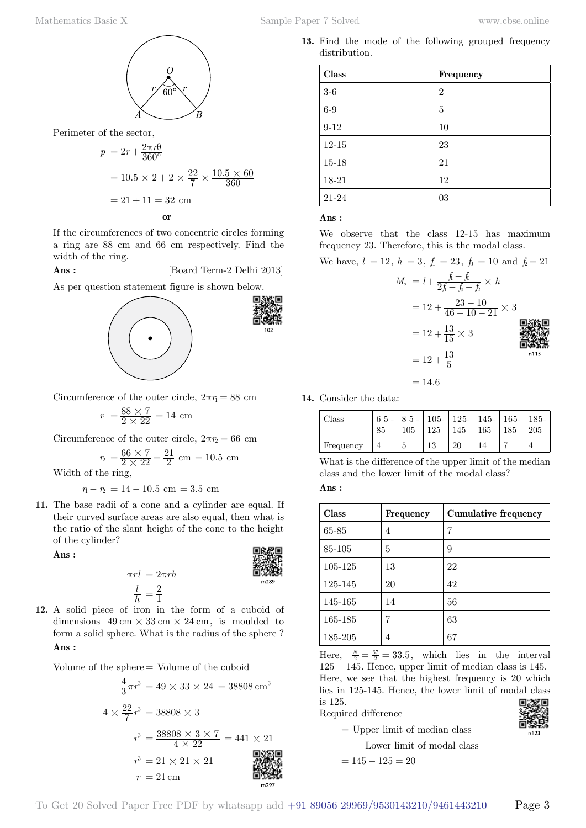

Perimeter of the sector,

$$
p = 2r + \frac{2\pi r\theta}{360^{\circ}}
$$
  
= 10.5 × 2 + 2 ×  $\frac{22}{7}$  ×  $\frac{10.5 × 60}{360}$   
= 21 + 11 = 32 cm  
or

If the circumferences of two concentric circles forming a ring are 88 cm and 66 cm respectively. Find the width of the ring.

**Ans :** [Board Term-2 Delhi 2013]

As per question statement figure is shown below.



Circumference of the outer circle,  $2\pi r_1 = 88$  cm

$$
r_1 = \frac{88 \times 7}{2 \times 22} = 14 \text{ cm}
$$

Circumference of the outer circle,  $2\pi r_2 = 66$  cm

$$
r_2 = \frac{66 \times 7}{2 \times 22} = \frac{21}{2}
$$
 cm = 10.5 cm

Width of the ring,

 $r_1 - r_2 = 14 - 10.5$  cm = 3.5 cm

**11.** The base radii of a cone and a cylinder are equal. If their curved surface areas are also equal, then what is the ratio of the slant height of the cone to the height of the cylinder?

 **Ans :**



*h* **12.** A solid piece of iron in the form of a cuboid of dimensions  $49 \text{ cm} \times 33 \text{ cm} \times 24 \text{ cm}$ , is moulded to form a solid sphere. What is the radius of the sphere ?  **Ans :**

*l*

Volume of the sphere = Volume of the cuboid

$$
\frac{4}{3}\pi r^3 = 49 \times 33 \times 24 = 38808 \text{ cm}^3
$$
  

$$
4 \times \frac{22}{7}r^3 = 38808 \times 3
$$
  

$$
r^3 = \frac{38808 \times 3 \times 7}{4 \times 22} = 441 \times 21
$$
  

$$
r^3 = 21 \times 21 \times 21
$$
  

$$
r = 21 \text{ cm}
$$

**13.** Find the mode of the following grouped frequency distribution.

| <b>Class</b> | Frequency      |
|--------------|----------------|
| $3-6$        | $\overline{2}$ |
| $6-9$        | 5              |
| $9 - 12$     | 10             |
| $12 - 15$    | 23             |
| $15 - 18$    | 21             |
| 18-21        | 12             |
| 21-24        | 03             |

 **Ans :**

We observe that the class 12-15 has maximum frequency 23. Therefore, this is the modal class.

We have,  $l = 12$ ,  $h = 3$ ,  $f_1 = 23$ ,  $f_0 = 10$  and  $f_2 = 21$ 

$$
M_{\circ} = l + \frac{f - f_{0}}{2f - f_{0} - f_{2}} \times h
$$
  
= 12 +  $\frac{23 - 10}{46 - 10 - 21} \times 3$   
= 12 +  $\frac{13}{15} \times 3$   
= 12 +  $\frac{13}{5}$   
= 12 +  $\frac{13}{5}$ 

**14.** Consider the data:

| Class     | -85 | $\mid 65 - \mid 85 - \mid 105 - \mid 125 - \mid 145 - \mid 165 - \mid 185 - \mid$ |    |    | $105$   125   145   165   185 | $\pm 205$ |
|-----------|-----|-----------------------------------------------------------------------------------|----|----|-------------------------------|-----------|
| Frequency |     |                                                                                   | 13 | 20 |                               |           |

 $= 14.6$ 

What is the difference of the upper limit of the median class and the lower limit of the modal class?  **Ans :**

| <b>Class</b> | Frequency | Cumulative frequency |
|--------------|-----------|----------------------|
| 65-85        | 4         | 7                    |
| 85-105       | 5         | 9                    |
| 105-125      | 13        | 22                   |
| 125-145      | 20        | 42                   |
| 145-165      | 14        | 56                   |
| 165-185      |           | 63                   |
| 185-205      | 4         | 67                   |

Here,  $\frac{N}{2} = \frac{67}{2} = 33.5$ , which lies in the interval  $125 - 145$ . Hence, upper limit of median class is 145. Here, we see that the highest frequency is 20 which lies in 125-145. Hence, the lower limit of modal class is 125. 回激发回

Required difference

Ĕ

 $=$  Upper limit of median class - Lower limit of modal class

$$
= 145 - 125 = 20
$$

$$
\mathbf{F}_{\text{max}}^{\text{max}}
$$

To Get 20 Solved Paper Free PDF by whatsapp add +91 89056 29969/9530143210/9461443210 Page 3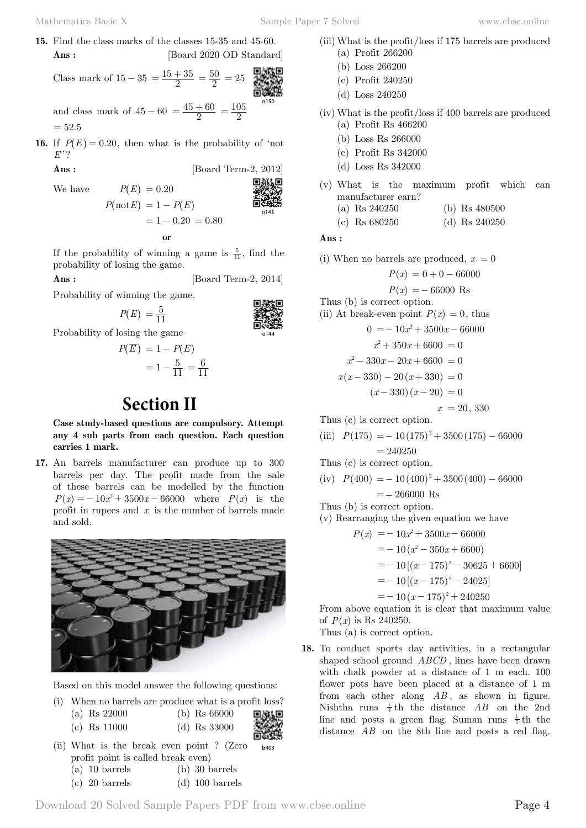- **15.** Find the class marks of the classes 15-35 and 45-60. **Ans :** [Board 2020 OD Standard]
	- Class mark of  $15 35 = \frac{15 + 35}{2} = \frac{50}{2} = 25$ and class mark of  $45 - 60 = \frac{45 + 60}{2} = \frac{105}{2}$  $= 52.5$
- **16.** If  $P(E) = 0.20$ , then what is the probability of 'not *E* '?

**Ans :** [Board Term-2, 2012]

We have 
$$
P(E) = 0.20
$$
  
 $P(\text{not } E) = 1 - F$ 

$$
P(\text{not}E) = 1 - P(E)
$$

$$
= 1 - 0.20 = 0.80
$$
or

If the probability of winning a game is  $\frac{5}{11}$ , find the probability of losing the game.

**Ans :** [Board Term-2, 2014]

Probability of winning the game,

$$
P(E) = \frac{5}{11}
$$

 $-$ 

Probability of losing the game

$$
P(\overline{E}) = 1 - P(E) \\
= 1 - \frac{5}{11} = \frac{6}{11}
$$

# **Section II**

**Case study-based questions are compulsory. Attempt any 4 sub parts from each question. Each question carries 1 mark.**

**17.** An barrels manufacturer can produce up to 300 barrels per day. The profit made from the sale of these barrels can be modelled by the function  $P(x) = -10x^2 + 3500x - 66000$  where  $P(x)$  is the profit in rupees and *x* is the number of barrels made and sold.



Based on this model answer the following questions:

|                                                                                                              | (i) When no barrels are produce what is a profit loss? |      |
|--------------------------------------------------------------------------------------------------------------|--------------------------------------------------------|------|
| (a) Rs $22000$                                                                                               | (b) Rs $66000$                                         |      |
| (c) Rs $11000$                                                                                               | (d) Rs $33000$                                         |      |
|                                                                                                              | (ii) What is the break even point? (Zero               | b403 |
| profit point is called break even)<br>$\sqrt{2}$ and $\sqrt{2}$ and $\sqrt{2}$ and $\sqrt{2}$ and $\sqrt{2}$ |                                                        |      |

- (a) 10 barrels (b) 30 barrels
- (c) 20 barrels (d) 100 barrels
- (iii) What is the profit/loss if 175 barrels are produced
	- (a) Profit 266200
	- (b) Loss 266200
	- (c) Profit 240250
	- (d) Loss 240250
- (iv) What is the profit/loss if 400 barrels are produced
	- (a) Profit Rs 466200
	- (b) Loss Rs 266000
	- (c) Profit Rs 342000
	- (d) Loss Rs 342000
- (v) What is the maximum profit which can manufacturer earn?
	- (a) Rs 240250 (b) Rs 480500
	- (c) Rs 680250 (d) Rs 240250

#### **Ans :**

(i) When no barrels are produced,  $x = 0$ 

- $P(x) = 0 + 0 66000$  $P(x) = -66000$  Rs Thus (b) is correct option. (ii) At break-even point  $P(x) = 0$ , thus  $0 = -10x^2 + 3500x - 66000$  $x^2 + 350x + 6600 = 0$  $x^2 - 330x - 20x + 6600 = 0$  $x(x - 330) - 20(x + 330) = 0$  $(x - 330)(x - 20) = 0$  $x = 20, 330$ Thus (c) is correct option.
- (iii)  $P(175) = -10(175)^2 + 3500(175) 66000$  $= 240250$

Thus (c) is correct option.

(iv)  $P(400) = -10(400)^2 + 3500(400) - 66000$ 

 $=- 266000$  Rs

Thus (b) is correct option.

(v) Rearranging the given equation we have

$$
P(x) = -10x^{2} + 3500x - 66000
$$
  
= -10 (x<sup>2</sup> - 350x + 6600)  
= -10 [(x - 175)<sup>2</sup> - 30625 + 6600]  
= -10 [(x - 175)<sup>2</sup> - 24025]  
= -10 (x - 175)<sup>2</sup> + 240250  
From above equation it is clear that maximum

From above equation it is clear that maximum value of  $P(x)$  is Rs 240250.

Thus (a) is correct option.

**18.** To conduct sports day activities, in a rectangular shaped school ground *ABCD* , lines have been drawn with chalk powder at a distance of 1 m each. 100 flower pots have been placed at a distance of 1 m from each other along *AB* , as shown in figure. Nishtha runs  $\frac{1}{4}$ th the distance *AB* on the 2nd line and posts a green flag. Suman runs  $\frac{1}{5}$ th the distance *AB* on the 8th line and posts a red flag.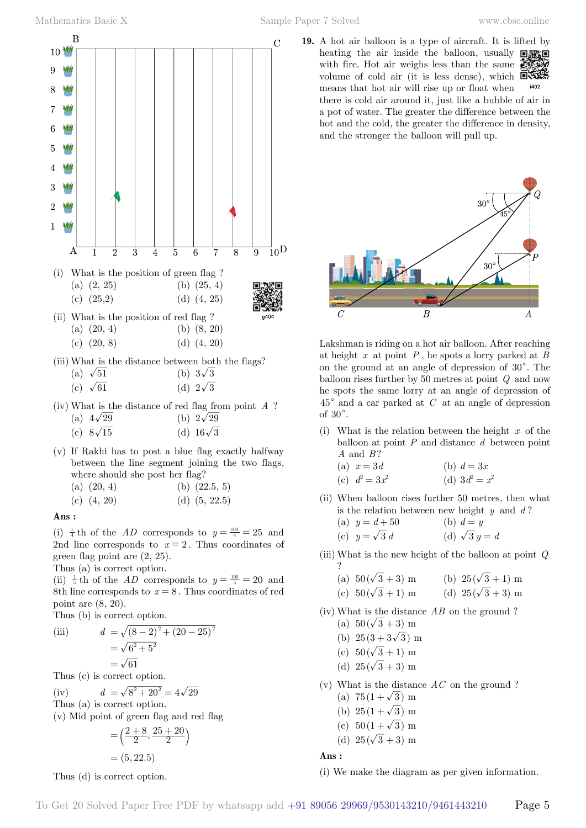

(iii) What is the distance between both the flags? (a)  $\sqrt{51}$  (b)  $3\sqrt{3}$ 

|  | (c) $\sqrt{61}$ |  | (d) $2\sqrt{3}$ |  |
|--|-----------------|--|-----------------|--|

- (iv) What is the distance of red flag from point *A* ? (a)  $4\sqrt{29}$  (b)  $2\sqrt{29}$ (c)  $8\sqrt{15}$  (d)  $16\sqrt{3}$
- (v) If Rakhi has to post a blue flag exactly halfway
	- between the line segment joining the two flags, where should she post her flag?

(c)  $(4, 20)$  (d)  $(5, 22.5)$ 

#### **Ans :**

(i)  $\frac{1}{4}$ th of the *AD* corresponds to  $y = \frac{100}{4} = 25$  and 2nd line corresponds to  $x = 2$ . Thus coordinates of green flag point are (2, 25).

Thus (a) is correct option.

(ii)  $\frac{1}{5}$  th of the *AD* corresponds to  $y = \frac{100}{5} = 20$  and 8th line corresponds to  $x = 8$ . Thus coordinates of red point are (8, 20).

Thus (b) is correct option.

(iii) 
$$
d = \sqrt{(8-2)^2 + (20-25)^2} = \sqrt{6^2 + 5^2} = \sqrt{61}
$$

Thus (c) is correct option.

- (iv)  $d = \sqrt{8^2 + 20^2} = 4\sqrt{29}$
- Thus (a) is correct option.
- (v) Mid point of green flag and red flag  $20 \times 28$

$$
= \left(\frac{2+8}{2}, \frac{25+20}{2}\right)
$$

$$
= (5, 22.5)
$$

Thus (d) is correct option.

**19.** A hot air balloon is a type of aircraft. It is lifted by heating the air inside the balloon, usually  $\square$ with fire. Hot air weighs less than the same  $\mathbb{Z}$ volume of cold air (it is less dense), which  $\Box$ i402 means that hot air will rise up or float when there is cold air around it, just like a bubble of air in a pot of water. The greater the difference between the hot and the cold, the greater the difference in density, and the stronger the balloon will pull up.



Lakshman is riding on a hot air balloon. After reaching at height *x* at point *P* , he spots a lorry parked at *B* on the ground at an angle of depression of  $30^{\circ}$ . The balloon rises further by 50 metres at point *Q* and now he spots the same lorry at an angle of depression of  $45^{\circ}$  and a car parked at *C* at an angle of depression of  $30^\circ$ .

- (i) What is the relation between the height *x* of the balloon at point *P* and distance *d* between point *A* and *B* ?
	- (a)  $x = 3d$  (b)  $d = 3x$ (c)  $d^2 = 3x^2$  (d)  $3d^2 = x^2$
- (ii) When balloon rises further 50 metres, then what is the relation between new height *y* and *d* ?
	- (a)  $y = d + 50$  (b)  $d = y$ (c)  $y = \sqrt{3} d$  (d)  $\sqrt{3} y = d$
- (iii) What is the new height of the balloon at point *Q*
	- (a)  $50(\sqrt{3} + 3)$  m (b)  $25(\sqrt{3} + 1)$  m (c)  $50(\sqrt{3} + 1)$  m (d)  $25(\sqrt{3} + 3)$  m
- (iv) What is the distance *AB* on the ground ?
	- (a)  $50(\sqrt{3} + 3)$  m
	- (b)  $25(3+3\sqrt{3})$  m
	- (c)  $50(\sqrt{3} + 1)$  m
	- (d)  $25(\sqrt{3} + 3)$  m

(v) What is the distance *AC* on the ground ?

- (a)  $75(1+\sqrt{3})$  m
- (b)  $25(1+\sqrt{3})$  m
- (c)  $50(1+\sqrt{3})$  m
- (d)  $25(\sqrt{3} + 3)$  m

 **Ans :**

?

(i) We make the diagram as per given information.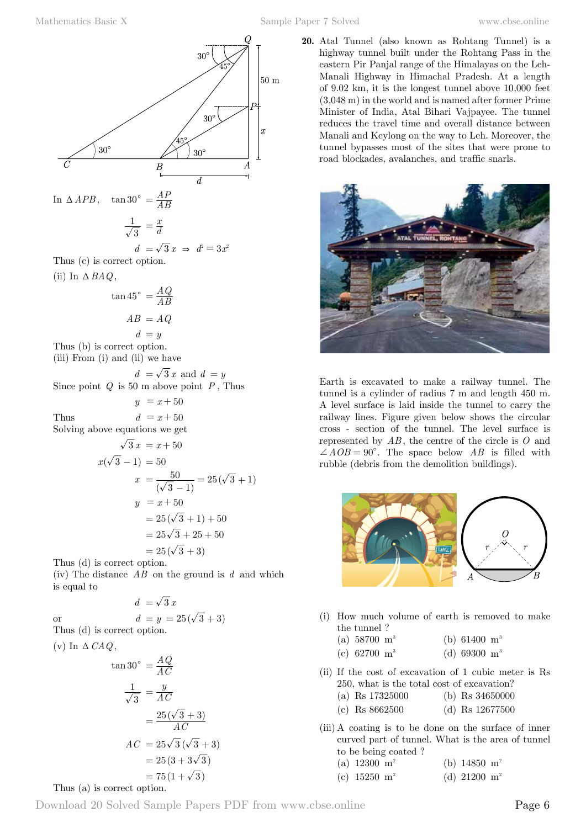

In  $\triangle APB$ ,  $\tan 30^\circ = \frac{AP}{AB}$ 

$$
\frac{1}{\sqrt{3}} = \frac{x}{d}
$$

$$
d = \sqrt{3} x \Rightarrow d^2 = 3x^2
$$

Thus (c) is correct option. (ii) In  $\triangle$  *BAQ*.

$$
\tan 45^\circ = \frac{A Q}{AB}
$$

$$
AB = AQ
$$

$$
d = y
$$

Thus (b) is correct option. (iii) From (i) and (ii) we have

 $d = \sqrt{3} x$  and  $d = y$ Since point *Q* is 50 m above point *P* , Thus

 $y = x + 50$ Thus  $d = x + 50$ 

Solving above equations we get

$$
\sqrt{3} x = x + 50
$$
  
\n
$$
x(\sqrt{3} - 1) = 50
$$
  
\n
$$
x = \frac{50}{(\sqrt{3} - 1)} = 25(\sqrt{3} + 1)
$$
  
\n
$$
y = x + 50
$$
  
\n
$$
= 25(\sqrt{3} + 1) + 50
$$
  
\n
$$
= 25\sqrt{3} + 25 + 50
$$
  
\n
$$
= 25(\sqrt{3} + 3)
$$

Thus (d) is correct option.

(iv) The distance *AB* on the ground is *d* and which is equal to

$$
d\ =\sqrt{\,3}\;x
$$

$$
d = \sqrt{3}x
$$
  
or 
$$
d = y = 25(\sqrt{3} + 3)
$$

Thus (d) is correct option.

(v) In 
$$
\Delta
$$
 *CAQ*,

$$
\tan 30^\circ = \frac{AQ}{AC}
$$

$$
\frac{1}{\sqrt{3}} = \frac{y}{AC}
$$

$$
= \frac{25(\sqrt{3} + 3)}{AC}
$$

$$
AC = 25\sqrt{3}(\sqrt{3} + 3)
$$

$$
= 25(3 + 3\sqrt{3})
$$

$$
= 75(1+\sqrt{3})
$$

**20.** Atal Tunnel (also known as Rohtang Tunnel) is a highway tunnel built under the Rohtang Pass in the eastern Pir Panjal range of the Himalayas on the Leh-Manali Highway in Himachal Pradesh. At a length of 9.02 km, it is the longest tunnel above 10,000 feet (3,048 m) in the world and is named after former Prime Minister of India, Atal Bihari Vajpayee. The tunnel reduces the travel time and overall distance between Manali and Keylong on the way to Leh. Moreover, the tunnel bypasses most of the sites that were prone to road blockades, avalanches, and traffic snarls.



Earth is excavated to make a railway tunnel. The tunnel is a cylinder of radius 7 m and length 450 m. A level surface is laid inside the tunnel to carry the railway lines. Figure given below shows the circular cross - section of the tunnel. The level surface is represented by *AB* , the centre of the circle is *O* and  $\angle AOB = 90^\circ$ . The space below *AB* is filled with rubble (debris from the demolition buildings).



- (i) How much volume of earth is removed to make the tunnel ?
	- (a)  $58700 \text{ m}^3$  (b)  $61400 \text{ m}^3$
	- (c) 62700  $\text{m}^3$  (d) 69300  $\text{m}^3$
- (ii) If the cost of excavation of 1 cubic meter is Rs 250, what is the total cost of excavation?
	- (a) Rs 17325000 (b) Rs 34650000
	- (c) Rs 8662500 (d) Rs 12677500
- (iii) A coating is to be done on the surface of inner curved part of tunnel. What is the area of tunnel to be being coated ?
	- (a)  $12300 \text{ m}^2$  (b)  $14850 \text{ m}^2$
	- (c)  $15250 \text{ m}^2$  (d)  $21200 \text{ m}^2$

#### Thus (a) is correct option.

Download 20 Solved Sample Papers PDF from [www.cbse.online](http://www.cbse.online) Page 6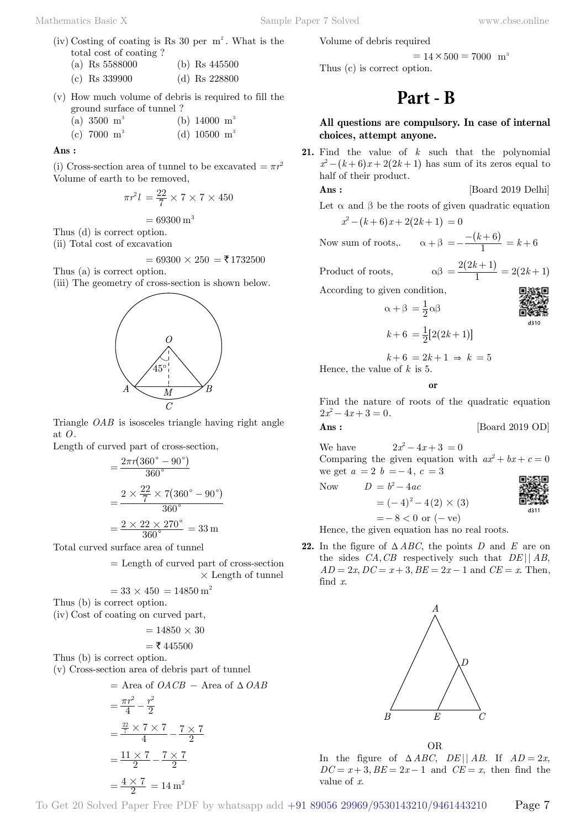- (iv) Costing of coating is Rs 30 per  $m^2$ . What is the total cost of coating ?
	- (a) Rs 5588000 (b) Rs 445500
	- (c) Rs 339900 (d) Rs 228800
- (v) How much volume of debris is required to fill the ground surface of tunnel ?
	- (a)  $3500 \text{ m}^3$  (b)  $14000 \text{ m}^3$
	- (c)  $7000 \text{ m}^3$  (d)  $10500 \text{ m}^3$

 **Ans :**

(i) Cross-section area of tunnel to be excavated  $= \pi r^2$ Volume of earth to be removed,

$$
\pi r^2 l\,=\frac{22}{7}\times 7\times 7\times 450
$$

$$
=69300\,\mathrm{m}^3
$$

Thus (d) is correct option.

(ii) Total cost of excavation

$$
= 69300 \times 250 = ₹1732500
$$

Thus (a) is correct option. (iii) The geometry of cross-section is shown below.



Triangle *OAB* is isosceles triangle having right angle at *O*.

Length of curved part of cross-section,

$$
= \frac{2\pi r (360° - 90°)}{360°}
$$

$$
= \frac{2 \times \frac{22}{7} \times 7 (360° - 90°)}{360°}
$$

$$
= \frac{2 \times 22 \times 270°}{360°} = 33 \text{ m}
$$

Total curved surface area of tunnel

 = Length of curved part of cross-section  $\times$  Length of tunnel

$$
= 33 \times 450 = 14850 \,\mathrm{m}^2
$$

Thus (b) is correct option.

(iv) Cost of coating on curved part,

$$
= 14850 \times 30
$$

$$
=
$$
  $\xi$  445500

Thus (b) is correct option.

(v) Cross-section area of debris part of tunnel

$$
= \text{Area of } OACB - \text{Area of } \Delta OAB
$$
  

$$
= \frac{\pi r^2}{4} - \frac{r^2}{2}
$$
  

$$
= \frac{\frac{22}{7} \times 7 \times 7}{4} - \frac{7 \times 7}{2}
$$
  

$$
= \frac{11 \times 7}{2} - \frac{7 \times 7}{2}
$$
  

$$
= \frac{4 \times 7}{2} = 14 \text{ m}^2
$$

Volume of debris required

 $= 14 \times 500 = 7000$  m<sup>3</sup>

Thus (c) is correct option.

# **Part - B**

#### **All questions are compulsory. In case of internal choices, attempt anyone.**

**21.** Find the value of *k* such that the polynomial  $x^2 - (k+6)x + 2(2k+1)$  has sum of its zeros equal to half of their product.

**Ans :** [Board 2019 Delhi]

Let 
$$
\alpha
$$
 and  $\beta$  be the roots of given quadratic equation  

$$
2 \left( (1+\beta) + 2(2+\beta) \right) = 0
$$

$$
x^2 - (k+6)x + 2(2k+1) = 0
$$

 $\alpha + \beta = \frac{1}{2}\alpha\beta$ 

Now sum of roots,  $\alpha + \beta = -\frac{-}{k}$ 

 $=-\frac{-(k+6)}{1} = k+6$ Product of roots,  $\alpha \beta = \frac{2(2k+1)}{1} = 2(2k+1)$ 

According to given condition,



$$
k + 6 = \frac{1}{2} [2(2k+1)]
$$

$$
k+6 = 2k+1 \Rightarrow k = 5
$$

Hence, the value of *k* is 5.

 **o**

Find the nature of roots of the quadratic equation  $2x^2 - 4x + 3 = 0.$ 

$$
{\rm Ans}:
$$

We have  $2x^2 - 4x + 3 = 0$ 

Comparing the given equation with  $ax^2 + bx + c = 0$ we get  $a = 2$   $b = -4$ ,  $c = 3$ 

Now 
$$
D = b^2 - 4ac
$$

[Board 2019 OD]

 $=$  - 8 < 0 or ( - ve)

Hence, the given equation has no real roots.

 $=(-4)^2 - 4(2) \times (3)$ 

**22.** In the figure of  $\triangle ABC$ , the points *D* and *E* are on the sides *CA*,*CB* respectively such that *DE* || *AB*,  $AD = 2x, DC = x + 3, BE = 2x - 1$  and  $CE = x$ . Then, find *x*.



OR In the figure of  $\triangle ABC$ ,  $DE||AB$ . If  $AD = 2x$ ,  $DC = x + 3$ ,  $BE = 2x - 1$  and  $CE = x$ , then find the value of *x*.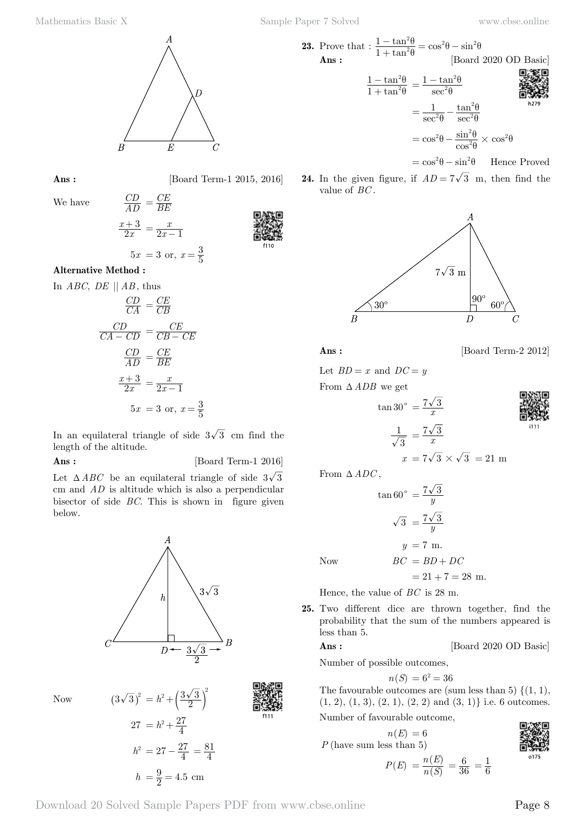

We have

**Ans :** [Board Term-1 2015, 2016]

$$
\frac{CD}{AD} = \frac{CE}{BE}
$$

$$
\frac{x+3}{2x} = \frac{x}{2x-1}
$$

$$
5x = 3
$$
 or,  $x = \frac{3}{5}$ 

 $CE$ 

#### **Alternative Method :**

In *ABC*, *DE* || *AB* , thus

$$
\frac{CD}{CA} = \frac{CE}{CB}
$$

$$
\frac{CD}{CA - CD} = \frac{CE}{CB - CE}
$$

$$
\frac{CD}{AD} = \frac{CE}{BE}
$$

$$
\frac{x+3}{2x} = \frac{x}{2x-1}
$$

$$
5x = 3 \text{ or, } x = \frac{3}{5}
$$

In an equilateral triangle of side  $3\sqrt{3}$  cm find the length of the altitude.

**Ans :** [Board Term-1 2016]

 $3\sqrt{3}$ 

Let  $\triangle ABC$  be an equilateral triangle of side  $3\sqrt{3}$ cm and *AD* is altitude which is also a perpendicular bisector of side *BC*. This is shown in figure given below.

 $\boldsymbol{h}$  $\overline{D}$  $3\sqrt{3}$ 



23. Prove that : 
$$
\frac{1 - \tan^2 \theta}{1 + \tan^2 \theta} = \cos^2 \theta - \sin^2 \theta
$$
 [Board 2020 OD Basic]  
\n
$$
\frac{1 - \tan^2 \theta}{1 + \tan^2 \theta} = \frac{1 - \tan^2 \theta}{\sec^2 \theta}
$$
  
\n
$$
= \frac{1}{\sec^2 \theta} - \frac{\tan^2 \theta}{\sec^2 \theta}
$$
  
\n
$$
= \cos^2 \theta - \frac{\sin^2 \theta}{\cos^2 \theta} \times \cos^2 \theta
$$

 $= \cos^2 \theta - \sin^2 \theta$  Hence Proved

**24.** In the given figure, if  $AD = 7\sqrt{3}$  m, then find the value of *BC* .



$$
Ans : \qquad \qquad [\text{Board Term-2 2012}]
$$

Let  $BD = x$  and  $DC = y$ 

From  $\triangle$  *ADB* we get

$$
\tan 30^\circ = \frac{7\sqrt{3}}{x}
$$

$$
\frac{1}{\sqrt{3}} = \frac{7\sqrt{3}}{x}
$$

$$
x = 7\sqrt{3} \times \sqrt{3} = 21 \text{ m}
$$

 $\overline{\phantom{a}}$ 



From  $\triangle ADC$ ,

 $Now$ 

$$
\tan 60^\circ = \frac{7\sqrt{3}}{y}
$$

$$
\sqrt{3} = \frac{7\sqrt{3}}{y}
$$

$$
y = 7 \text{ m.}
$$

$$
BC = BD + DC
$$

 $= 21 + 7 = 28$  m.

Hence, the value of *BC* is 28 m.

**25.** Two different dice are thrown together, find the probability that the sum of the numbers appeared is less than 5.

**Ans :** [Board 2020 OD Basic]

Number of possible outcomes,

$$
n(S) = 6^2 = 36
$$

The favourable outcomes are (sum less than 5)  $\{(1, 1),$  $(1, 2), (1, 3), (2, 1), (2, 2)$  and  $(3, 1)$ } i.e. 6 outcomes.

Number of favourable outcome,

 $n(E) = 6$ *P* (have sum less than 5)

$$
P(E) = \frac{n(E)}{n(S)} = \frac{6}{36} = \frac{1}{6}
$$

$$
\begin{array}{c}\n\Box\n\end{array}\n\begin{array}{c}\n\Box\n\end{array}\n\begin{array}{c}\n\Box\n\end{array}
$$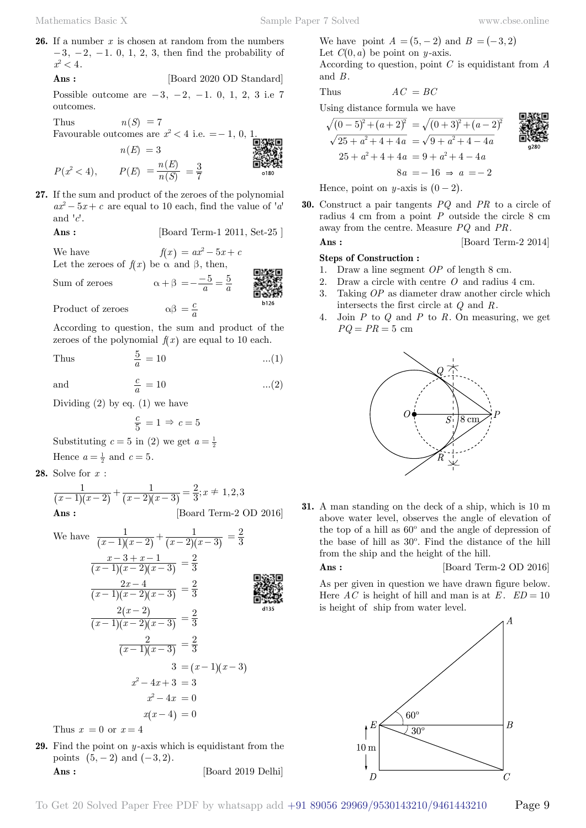**26.** If a number *x* is chosen at random from the numbers  $-3, -2, -1, 0, 1, 2, 3$ , then find the probability of  $x^2 < 4$ .

 **Ans :** [Board 2020 OD Standard]

Possible outcome are  $-3$ ,  $-2$ ,  $-1$ . 0, 1, 2, 3 i.e 7 outcomes.

Thus  $n(S) = 7$ Favourable outcomes are  $x^2 < 4$  i.e. = - 1, 0, 1.  $n(E) = 3$  $P(x^2 < 4),$   $P(E) = \frac{n(E)}{n(S)}$  $=\frac{n(E)}{n(S)} = \frac{3}{7}$ 

**27.** If the sum and product of the zeroes of the polynomial  $ax^2 - 5x + c$  are equal to 10 each, find the value of 'a' and  $'c'$ .

 **Ans :** [Board Term-1 2011, Set-25 ]

We have  $f(x) = ax^2 - 5x + c$ Let the zeroes of  $f(x)$  be  $\alpha$  and  $\beta$ , then,

Sum of zeroes  $\alpha + \beta = -\frac{-5}{a} = \frac{5}{a}$ 

Product of zeroes  $\alpha\beta = \frac{c}{c}$ 

According to question, the sum and product of the zeroes of the polynomial  $f(x)$  are equal to 10 each.

Thus 
$$
\frac{5}{a} = 10 \qquad \qquad \dots (1)
$$

 $\frac{c}{a} = 10$  ...(2)

and

Dividing  $(2)$  by eq.  $(1)$  we have

$$
\frac{c}{5} = 1 \Rightarrow c = 5
$$

Substituting  $c = 5$  in (2) we get  $a = \frac{1}{2}$ Hence  $a = \frac{1}{2}$  and  $c = 5$ .

**28.** Solve for *x* :

$$
\frac{1}{(x-1)(x-2)} + \frac{1}{(x-2)(x-3)} = \frac{2}{3}; x \neq 1,2,3
$$
\nAns: [Board Term-2 OD 2016]

We have 
$$
\frac{1}{(x-1)(x-2)} + \frac{1}{(x-2)(x-3)} = \frac{2}{3}
$$

$$
\frac{x-3+x-1}{(x-1)(x-2)(x-3)} = \frac{2}{3}
$$

$$
\frac{2x-4}{(x-1)(x-2)(x-3)} = \frac{2}{3}
$$

Thus  $x = 0$  or  $x = 4$ 

**29.** Find the point on *y* -axis which is equidistant from the points  $(5, -2)$  and  $(-3, 2)$ . **Ans :** [Board 2019 Delhi]

We have point 
$$
A = (5, -2)
$$
 and  $B = (-3, 2)$   
Let  $C(0, a)$  be point on *y*-axis.

According to question, point *C* is equidistant from *A* and *B* .

Thus 
$$
AC = BC
$$

Using distance formula we have

$$
\sqrt{(0-5)^2 + (a+2)^2} = \sqrt{(0+3)^2 + (a-2)^2}
$$
  

$$
\sqrt{25+a^2+4+4a} = \sqrt{9+a^2+4-4a}
$$
  

$$
25+a^2+4+4a = 9+a^2+4-4a
$$
  

$$
8a = -16 \Rightarrow a = -2
$$

Hence, point on *y*-axis is  $(0 - 2)$ .

**30.** Construct a pair tangents *PQ* and *PR* to a circle of radius  $4 \text{ cm from a point } P$  outside the circle  $8 \text{ cm}$ away from the centre. Measure *PQ* and *PR*. **Ans :** [Board Term-2 2014]

## **Steps of Construction :**

- 1. Draw a line segment *OP* of length 8 cm.
- 2. Draw a circle with centre *O* and radius 4 cm.
- 3. Taking *OP* as diameter draw another circle which intersects the first circle at *Q* and *R*.
- 4. Join *P* to *Q* and *P* to *R*. On measuring, we get  $PQ = PR = 5$  cm



**31.** A man standing on the deck of a ship, which is 10 m above water level, observes the angle of elevation of the top of a hill as 60º and the angle of depression of the base of hill as 30º. Find the distance of the hill from the ship and the height of the hill.

#### **Ans :** [Board Term-2 OD 2016]

As per given in question we have drawn figure below. Here *AC* is height of hill and man is at  $E$ .  $ED = 10$ is height of ship from water level.

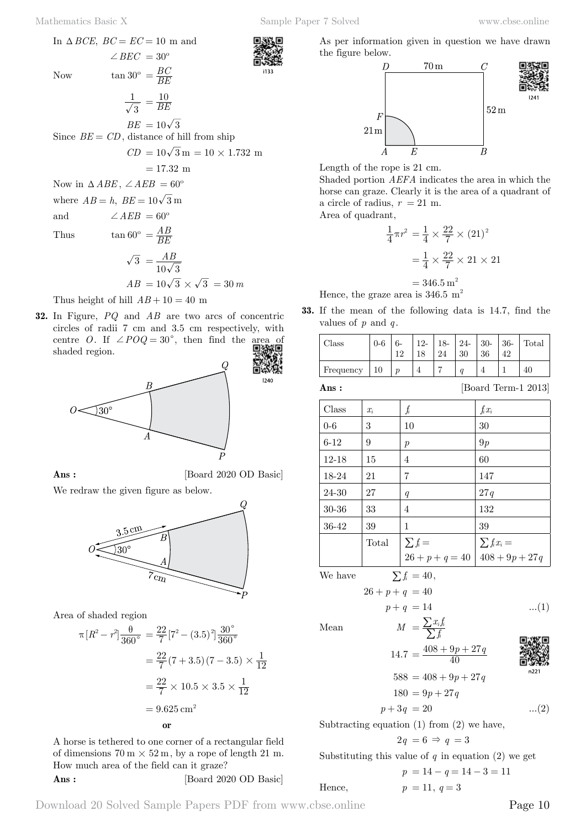

 $\overline{3} = \frac{AB}{10\sqrt{3}}$ 

$$
AB = 10\sqrt{3} \times \sqrt{3} = 30 m
$$

Thus height of hill  $AB + 10 = 40$  m

**32.** In Figure, *PQ* and *AB* are two arcs of concentric circles of radii 7 cm and 3.5 cm respectively, with centre *O*. If  $\angle POQ = 30^{\circ}$ , then find the area of choded region shaded region.



**Ans :** [Board 2020 OD Basic]

1240

We redraw the given figure as below.



Area of shaded region

$$
\pi [R^2 - r^2] \frac{\theta}{360^\circ} = \frac{22}{7} [7^2 - (3.5)^2] \frac{30^\circ}{360^\circ}
$$
  

$$
= \frac{22}{7} (7 + 3.5) (7 - 3.5) \times \frac{1}{12}
$$
  

$$
= \frac{22}{7} \times 10.5 \times 3.5 \times \frac{1}{12}
$$
  

$$
= 9.625 \text{ cm}^2
$$
 or

A horse is tethered to one corner of a rectangular field of dimensions  $70 \text{ m} \times 52 \text{ m}$ , by a rope of length 21 m. How much area of the field can it graze? **Ans :** [Board 2020 OD Basic] As per information given in question we have drawn the figure below.



Length of the rope is 21 cm.

Shaded portion *AEFA* indicates the area in which the horse can graze. Clearly it is the area of a quadrant of a circle of radius,  $r = 21$  m.

Area of quadrant,

$$
\frac{1}{4}\pi r^2 = \frac{1}{4} \times \frac{22}{7} \times (21)^2
$$

$$
= \frac{1}{4} \times \frac{22}{7} \times 21 \times 21
$$

$$
= 346.5 \text{ m}^2
$$

Hence, the graze area is  $346.5 \text{ m}^2$ 

**33.** If the mean of the following data is 14.7, find the values of *p* and *q* .

| Class     | $0-6$ | 1 ດ | $12-$ | 18-<br>24 | $24-$<br>30 | $ 30 - 36$<br>36 | Total |
|-----------|-------|-----|-------|-----------|-------------|------------------|-------|
| Frequency |       | n   |       |           | $\alpha$    |                  | 40    |

**Ans :** [Board Term-1 2013]

| Class     | $x_i$ | $f_i$             | $f_i x_i$        |
|-----------|-------|-------------------|------------------|
| $0 - 6$   | 3     | 10                | 30               |
| $6-12$    | 9     | $\boldsymbol{p}$  | 9p               |
| $12 - 18$ | 15    | 4                 | 60               |
| 18-24     | 21    | 7                 | 147              |
| 24-30     | 27    | q                 | 27q              |
| $30 - 36$ | 33    | 4                 | 132              |
| 36-42     | 39    | 1                 | 39               |
|           | Total | $\sum f_i =$      | $\sum f_i x_i =$ |
|           |       | $26 + p + q = 40$ | $408 + 9p + 27q$ |

We have  $\sum f_i = 40$ ,

$$
26 + p + q = 40
$$
  
 
$$
p + q = 14
$$
 ...(1)

Mean  $M = \frac{\sum x_i j}{\sum f_i}$ 

$$
\begin{array}{c}\n\mathbb{E} \\
\mathbb{E} \\
\mathbb{E} \\
\mathbb{E} \\
\mathbb{E} \\
\mathbb{E} \\
\mathbb{E} \\
\mathbb{E} \\
\mathbb{E} \\
\mathbb{E} \\
\mathbb{E} \\
\mathbb{E} \\
\mathbb{E} \\
\mathbb{E} \\
\mathbb{E} \\
\mathbb{E} \\
\mathbb{E} \\
\mathbb{E} \\
\mathbb{E} \\
\mathbb{E} \\
\mathbb{E} \\
\mathbb{E} \\
\mathbb{E} \\
\mathbb{E} \\
\mathbb{E} \\
\mathbb{E} \\
\mathbb{E} \\
\mathbb{E} \\
\mathbb{E} \\
\mathbb{E} \\
\mathbb{E} \\
\mathbb{E} \\
\mathbb{E} \\
\mathbb{E} \\
\mathbb{E} \\
\mathbb{E} \\
\mathbb{E} \\
\mathbb{E} \\
\mathbb{E} \\
\mathbb{E} \\
\mathbb{E} \\
\mathbb{E} \\
\mathbb{E} \\
\mathbb{E} \\
\mathbb{E} \\
\mathbb{E} \\
\mathbb{E} \\
\mathbb{E} \\
\mathbb{E} \\
\mathbb{E} \\
\mathbb{E} \\
\mathbb{E} \\
\mathbb{E} \\
\mathbb{E} \\
\mathbb{E} \\
\mathbb{E} \\
\mathbb{E} \\
\mathbb{E} \\
\mathbb{E} \\
\mathbb{E} \\
\mathbb{E} \\
\mathbb{E} \\
\mathbb{E} \\
\mathbb{E} \\
\mathbb{E} \\
\mathbb{E} \\
\mathbb{E} \\
\mathbb{E} \\
\mathbb{E} \\
\mathbb{E} \\
\mathbb{E} \\
\mathbb{E} \\
\mathbb{E} \\
\mathbb{E} \\
\mathbb{E} \\
\mathbb{E} \\
\mathbb{E} \\
\mathbb{E} \\
\mathbb{E} \\
\mathbb{E} \\
\mathbb{E} \\
\mathbb{E} \\
\mathbb{E} \\
\mathbb{E} \\
\mathbb{E} \\
\mathbb{E} \\
\mathbb{E} \\
\mathbb{E} \\
\mathbb{E} \\
\mathbb{E} \\
\mathbb{E} \\
\mathbb{E} \\
\mathbb{E} \\
\mathbb{E} \\
\mathbb{E} \\
\mathbb{E} \\
\mathbb{E} \\
\mathbb{E} \\
\mathbb{E} \\
\mathbb{E} \\
\mathbb{E} \\
\mathbb{E} \\
\mathbb{E} \\
\mathbb{E} \\
\mathbb{E} \\
\mathbb{E} \\
\mathbb{E} \\
\mathbb
$$

$$
588 = 408 + 9p + 27q
$$
  
\n
$$
180 = 9p + 27q
$$
  
\n
$$
p + 3q = 20
$$
 ... (2)

Subtracting equation 
$$
(1)
$$
 from  $(2)$  we have,

$$
2q = 6 \Rightarrow q = 3
$$

Substituting this value of 
$$
q
$$
 in equation (2) we get

 $=\frac{\sum x_i f_i}{\sum f_i}$ 

 $14.7 = \frac{408 + 9p + 27q}{40}$ 

$$
p = 14 - q = 14 - 3 = 11
$$

Hence,  $p = 11, q = 3$ 

Download 20 Solved Sample Papers PDF from [www.cbse.online](http://www.cbse.online) Page 10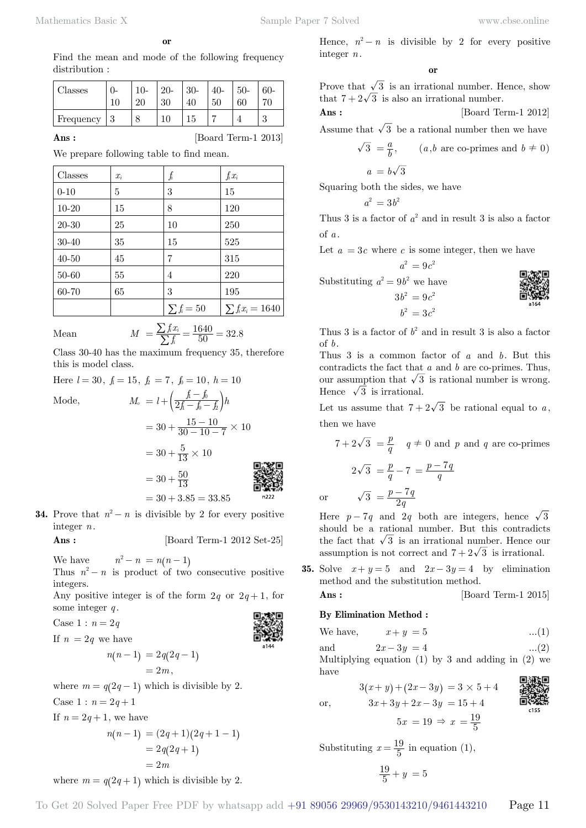**o**

Find the mean and mode of the following frequency distribution :

| Classes   | 0-     | $10-$ | $20-$<br>30 | $30-$ | 40-<br>50 | $50-$<br>60 | $60 -$          |
|-----------|--------|-------|-------------|-------|-----------|-------------|-----------------|
| Frequency | 2<br>◡ |       |             | l5    |           |             | $\Omega$<br>e l |

**Ans :** [Board Term-1 2013]

We prepare following table to find mean.

| Classes   | $x_i$ | $f_{\!\scriptscriptstyle i}$ | $f_i x_i$             |
|-----------|-------|------------------------------|-----------------------|
| $0 - 10$  | 5     | 3                            | 15                    |
| $10 - 20$ | 15    | 8                            | 120                   |
| 20-30     | 25    | 10                           | 250                   |
| $30 - 40$ | 35    | 15                           | 525                   |
| $40 - 50$ | 45    | 7                            | 315                   |
| 50-60     | 55    | 4                            | 220                   |
| 60-70     | 65    | 3                            | 195                   |
|           |       | $\sum f_i = 50$              | $\sum f_i x_i = 1640$ |

Mean 
$$
M = \frac{\sum f_i x_i}{\sum f_i} = \frac{1640}{50} = 32.8
$$

Class 30-40 has the maximum frequency 35, therefore this is model class.

Here  $l = 30$ ,  $f_1 = 15$ ,  $f_2 = 7$ ,  $f_0 = 10$ ,  $h = 10$ Mode,  $M_o = l + \left(\frac{f_i - f_o}{2f_i - f_o - f_a}\right)h$  $=30 + \frac{15 - 10}{30 - 10 - 7} \times 10$ 

$$
= 30 + \frac{5}{13} \times 10
$$
  
= 30 + \frac{50}{13}  
= 30 + \frac{50}{13}  
= 30 + 3.85 = 33.85

**34.** Prove that  $n^2 - n$  is divisible by 2 for every positive integer *n*.

**Ans :** [Board Term-1 2012 Set-25]

We have  $n^2 - n = n(n - 1)$ 

Thus  $n^2 - n$  is product of two consecutive positive integers.

Any positive integer is of the form  $2q$  or  $2q+1$ , for some integer *q* .

Case  $1 : n = 2q$ 



If 
$$
n = 2q
$$
 we have  

$$
n(n-1) = 2
$$

$$
n(n-1) = 2q(2q-1)
$$
  
= 2m,

where  $m = q(2q - 1)$  which is divisible by 2.

Case  $1 : n = 2q + 1$ If  $n = 2q + 1$ , we have

$$
n(n-1) = (2q+1)(2q+1-1)
$$
  
= 2q(2q+1)  
= 2m

where  $m = q(2q + 1)$  which is divisible by 2.

Hence,  $n^2 - n$  is divisible by 2 for every positive integer *n*.

#### **o**

Prove that  $\sqrt{3}$  is an irrational number. Hence, show that  $7 + 2\sqrt{3}$  is also an irrational number.

**Ans :** [Board Term-1 2012]

Assume that  $\sqrt{3}$  be a rational number then we have

$$
\sqrt{3} = \frac{a}{b}
$$
, (*a*,*b* are co-primes and *b*  $\neq$  0)  
 $a = b\sqrt{3}$ 

Squaring both the sides, we have

$$
a^2\,=3b^2
$$

Thus 3 is a factor of  $a^2$  and in result 3 is also a factor of *a* .

Let  $a = 3c$  where c is some integer, then we have

$$
a^2 = 9c^2
$$

Substituting  $a^2 = 9b^2$  we have

 $3b^2 = 9c^2$  $b^2 = 3c^2$ 

Thus 3 is a factor of  $b^2$  and in result 3 is also a factor of *b*.

Thus 3 is a common factor of *a* and *b*. But this contradicts the fact that *a* and *b* are co-primes. Thus, our assumption that  $\sqrt{3}$  is rational number is wrong. Hence  $\sqrt{3}$  is irrational.

Let us assume that  $7 + 2\sqrt{3}$  be rational equal to a, then we have

$$
7 + 2\sqrt{3} = \frac{p}{q} \quad q \neq 0 \text{ and } p \text{ and } q \text{ are co-primes}
$$

$$
2\sqrt{3} = \frac{p}{q} - 7 = \frac{p - 7q}{q}
$$

$$
\sqrt{3} = \frac{p - 7q}{2q}
$$

Here  $p-7q$  and 2q both are integers, hence  $\sqrt{3}$ should be a rational number. But this contradicts the fact that  $\sqrt{3}$  is an irrational number. Hence our assumption is not correct and  $7 + 2\sqrt{3}$  is irrational.

**35.** Solve  $x + y = 5$  and  $2x - 3y = 4$  by elimination method and the substitution method.

$$
Ans : \qquad \qquad [\text{Board Term-1 2015}]
$$

#### **By Elimination Method :**

 $\alpha$ 

We have,  $x + y = 5$  ...(1)

and  $2x - 3y = 4$  ...(2)

Multiplying equation  $(1)$  by 3 and adding in  $(2)$  we have

$$
3(x + y) + (2x - 3y) = 3 \times 5 + 4
$$
  
or,  

$$
3x + 3y + 2x - 3y = 15 + 4
$$
  

$$
5x = 19 \Rightarrow x = \frac{19}{5}
$$

$$
\frac{1}{2}
$$

Substituting  $x = \frac{19}{5}$  in equation (1),  $\frac{19}{5} + y = 5$